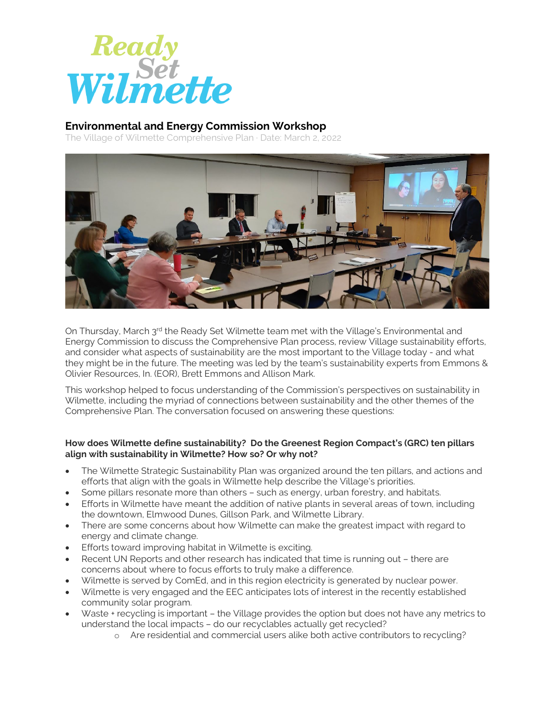

## **Environmental and Energy Commission Workshop**

The Village of Wilmette Comprehensive Plan · Date: March 2, 2022



On Thursday, March 3<sup>rd</sup> the Ready Set Wilmette team met with the Village's Environmental and Energy Commission to discuss the Comprehensive Plan process, review Village sustainability efforts, and consider what aspects of sustainability are the most important to the Village today - and what they might be in the future. The meeting was led by the team's sustainability experts from Emmons & Olivier Resources, In. (EOR), Brett Emmons and Allison Mark.

This workshop helped to focus understanding of the Commission's perspectives on sustainability in Wilmette, including the myriad of connections between sustainability and the other themes of the Comprehensive Plan. The conversation focused on answering these questions:

## **How does Wilmette define sustainability? Do the Greenest Region Compact's (GRC) ten pillars align with sustainability in Wilmette? How so? Or why not?**

- The Wilmette Strategic Sustainability Plan was organized around the ten pillars, and actions and efforts that align with the goals in Wilmette help describe the Village's priorities.
- Some pillars resonate more than others such as energy, urban forestry, and habitats.
- Efforts in Wilmette have meant the addition of native plants in several areas of town, including the downtown, Elmwood Dunes, Gillson Park, and Wilmette Library.
- There are some concerns about how Wilmette can make the greatest impact with regard to energy and climate change.
- Efforts toward improving habitat in Wilmette is exciting.
- Recent UN Reports and other research has indicated that time is running out there are concerns about where to focus efforts to truly make a difference.
- Wilmette is served by ComEd, and in this region electricity is generated by nuclear power.
- Wilmette is very engaged and the EEC anticipates lots of interest in the recently established community solar program.
- Waste + recycling is important the Village provides the option but does not have any metrics to understand the local impacts – do our recyclables actually get recycled?
	- o Are residential and commercial users alike both active contributors to recycling?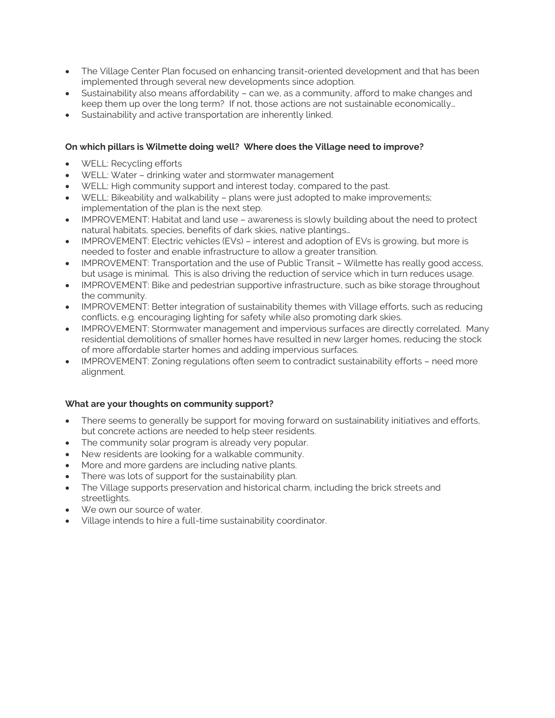- The Village Center Plan focused on enhancing transit-oriented development and that has been implemented through several new developments since adoption.
- Sustainability also means affordability can we, as a community, afford to make changes and keep them up over the long term? If not, those actions are not sustainable economically…
- Sustainability and active transportation are inherently linked.

## **On which pillars is Wilmette doing well? Where does the Village need to improve?**

- WELL: Recycling efforts
- WELL: Water drinking water and stormwater management
- WELL: High community support and interest today, compared to the past.
- WELL: Bikeability and walkability plans were just adopted to make improvements; implementation of the plan is the next step.
- IMPROVEMENT: Habitat and land use awareness is slowly building about the need to protect natural habitats, species, benefits of dark skies, native plantings…
- IMPROVEMENT: Electric vehicles (EVs) interest and adoption of EVs is growing, but more is needed to foster and enable infrastructure to allow a greater transition.
- IMPROVEMENT: Transportation and the use of Public Transit Wilmette has really good access, but usage is minimal. This is also driving the reduction of service which in turn reduces usage.
- IMPROVEMENT: Bike and pedestrian supportive infrastructure, such as bike storage throughout the community.
- IMPROVEMENT: Better integration of sustainability themes with Village efforts, such as reducing conflicts, e.g. encouraging lighting for safety while also promoting dark skies.
- IMPROVEMENT: Stormwater management and impervious surfaces are directly correlated. Many residential demolitions of smaller homes have resulted in new larger homes, reducing the stock of more affordable starter homes and adding impervious surfaces.
- IMPROVEMENT: Zoning regulations often seem to contradict sustainability efforts need more alignment.

## **What are your thoughts on community support?**

- There seems to generally be support for moving forward on sustainability initiatives and efforts, but concrete actions are needed to help steer residents.
- The community solar program is already very popular.
- New residents are looking for a walkable community.
- More and more gardens are including native plants.
- There was lots of support for the sustainability plan.
- The Village supports preservation and historical charm, including the brick streets and streetlights.
- We own our source of water.
- Village intends to hire a full-time sustainability coordinator.